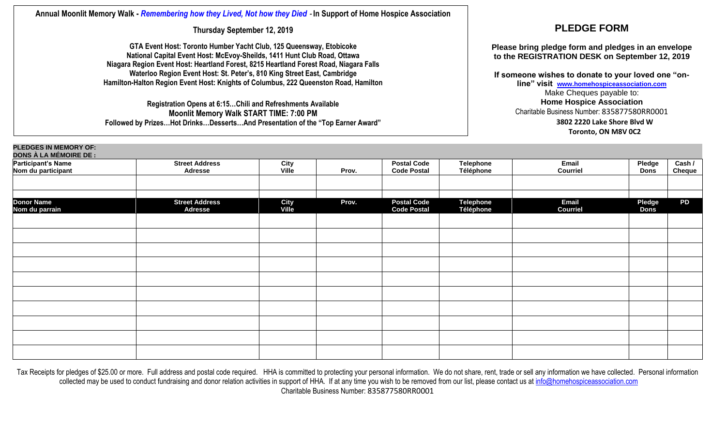## **Annual Moonlit Memory Walk -** *Remembering how they Lived, Not how they Died* - **In Support of Home Hospice Association**

**Thursday September 12, 2019**

**GTA Event Host: Toronto Humber Yacht Club, 125 Queensway, Etobicoke National Capital Event Host: McEvoy-Sheilds, 1411 Hunt Club Road, Ottawa Niagara Region Event Host: Heartland Forest, 8215 Heartland Forest Road, Niagara Falls Waterloo Region Event Host: St. Peter's, 810 King Street East, Cambridge Hamilton-Halton Region Event Host: Knights of Columbus, 222 Queenston Road, Hamilton**

**Registration Opens at 6:15…Chili and Refreshments Available Moonlit Memory Walk START TIME: 7:00 PM Followed by Prizes…Hot Drinks…Desserts…And Presentation of the "Top Earner Award"**

## **PLEDGE FORM**

**Please bring pledge form and pledges in an envelope to the REGISTRATION DESK on September 12, 2019**

**If someone wishes to donate to your loved one "online" visit [www.homehospiceassociation.com](http://www.homehospiceassociation.com/)** Make Cheques payable to: **Home Hospice Association**  Charitable Business Number: 835877580RR0001 **3802 2220 Lake Shore Blvd W**

**Toronto, ON M8V 0C2**

| <b>PLEDGES IN MEMORY OF:</b>                                                |                                         |                      |       |                                          |                               |                                 |                              |                  |  |  |  |  |  |
|-----------------------------------------------------------------------------|-----------------------------------------|----------------------|-------|------------------------------------------|-------------------------------|---------------------------------|------------------------------|------------------|--|--|--|--|--|
| <b>DONS À LA MÉMOIRE DE :<br/>Participant's Name<br/>Nom du participant</b> | <b>Street Address</b><br><b>Adresse</b> | City<br>Ville        | Prov. | <b>Postal Code</b><br><b>Code Postal</b> | <b>Telephone</b><br>Téléphone | Email<br><b>Courriel</b>        | <b>Pledge</b><br><b>Dons</b> | Cash /<br>Cheque |  |  |  |  |  |
| <b>Donor Name</b><br>Nom du parrain                                         | <b>Street Address</b><br><b>Adresse</b> | <b>City</b><br>Ville | Prov. | <b>Postal Code</b><br><b>Code Postal</b> | <b>Telephone</b><br>Téléphone | <b>Email</b><br><b>Courriel</b> | Pledge<br><b>Dons</b>        | <b>PD</b>        |  |  |  |  |  |
|                                                                             |                                         |                      |       |                                          |                               |                                 |                              |                  |  |  |  |  |  |
|                                                                             |                                         |                      |       |                                          |                               |                                 |                              |                  |  |  |  |  |  |
|                                                                             |                                         |                      |       |                                          |                               |                                 |                              |                  |  |  |  |  |  |
|                                                                             |                                         |                      |       |                                          |                               |                                 |                              |                  |  |  |  |  |  |
|                                                                             |                                         |                      |       |                                          |                               |                                 |                              |                  |  |  |  |  |  |
|                                                                             |                                         |                      |       |                                          |                               |                                 |                              |                  |  |  |  |  |  |
|                                                                             |                                         |                      |       |                                          |                               |                                 |                              |                  |  |  |  |  |  |
|                                                                             |                                         |                      |       |                                          |                               |                                 |                              |                  |  |  |  |  |  |
|                                                                             |                                         |                      |       |                                          |                               |                                 |                              |                  |  |  |  |  |  |

Tax Receipts for pledges of \$25.00 or more. Full address and postal code required. HHA is committed to protecting your personal information. We do not share, rent, trade or sell any information we have collected. Personal collected may be used to conduct fundraising and donor relation activities in support of HHA. If at any time you wish to be removed from our list, please contact us a[t info@homehospiceassociation.com](mailto:info@homehospiceassociation.com) Charitable Business Number: 835877580RR0001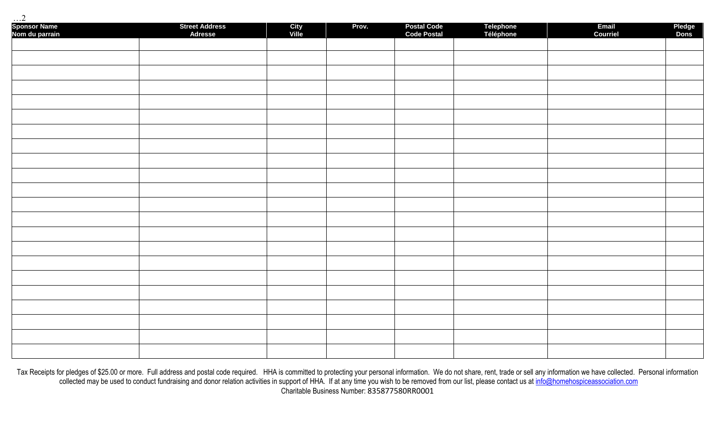| Sponsor Name<br>Nom du parrain | <b>Street Address<br/>Adresse</b> | City<br>Ville | Prov. | Postal Code<br>Code Postal | Telephone<br>Téléphone | Email<br>Courriel | Pledge<br>Dons |
|--------------------------------|-----------------------------------|---------------|-------|----------------------------|------------------------|-------------------|----------------|
|                                |                                   |               |       |                            |                        |                   |                |
|                                |                                   |               |       |                            |                        |                   |                |
|                                |                                   |               |       |                            |                        |                   |                |
|                                |                                   |               |       |                            |                        |                   |                |
|                                |                                   |               |       |                            |                        |                   |                |
|                                |                                   |               |       |                            |                        |                   |                |
|                                |                                   |               |       |                            |                        |                   |                |
|                                |                                   |               |       |                            |                        |                   |                |
|                                |                                   |               |       |                            |                        |                   |                |
|                                |                                   |               |       |                            |                        |                   |                |
|                                |                                   |               |       |                            |                        |                   |                |
|                                |                                   |               |       |                            |                        |                   |                |
|                                |                                   |               |       |                            |                        |                   |                |
|                                |                                   |               |       |                            |                        |                   |                |
|                                |                                   |               |       |                            |                        |                   |                |
|                                |                                   |               |       |                            |                        |                   |                |
|                                |                                   |               |       |                            |                        |                   |                |
|                                |                                   |               |       |                            |                        |                   |                |
|                                |                                   |               |       |                            |                        |                   |                |
|                                |                                   |               |       |                            |                        |                   |                |
|                                |                                   |               |       |                            |                        |                   |                |
|                                |                                   |               |       |                            |                        |                   |                |

Tax Receipts for pledges of \$25.00 or more. Full address and postal code required. HHA is committed to protecting your personal information. We do not share, rent, trade or sell any information we have collected. Personal collected may be used to conduct fundraising and donor relation activities in support of HHA. If at any time you wish to be removed from our list, please contact us a[t info@homehospiceassociation.com](mailto:info@homehospiceassociation.com) Charitable Business Number: 835877580RR0001